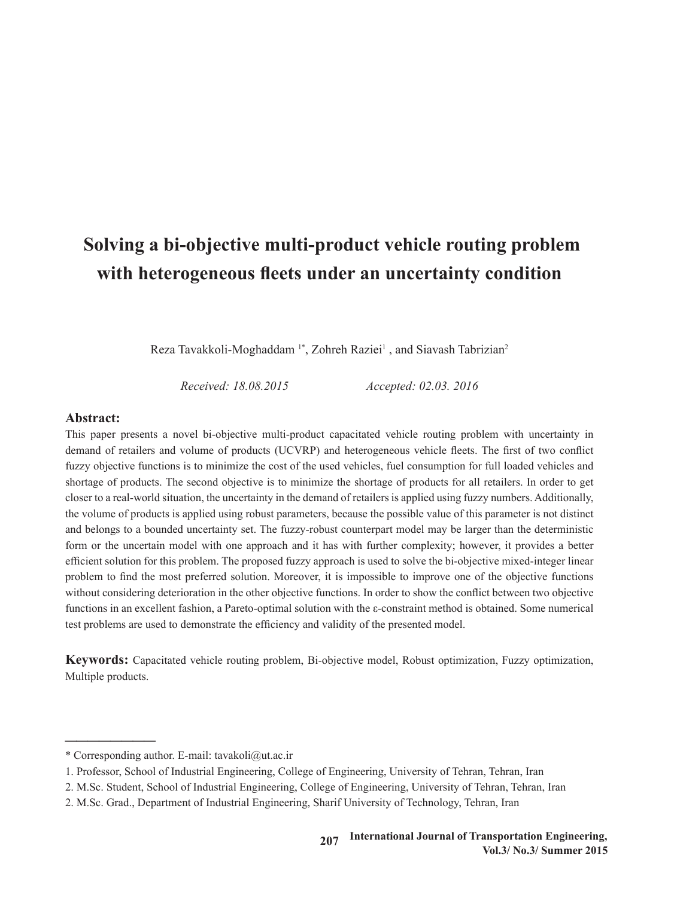# **Solving a bi-objective multi-product vehicle routing problem with heterogeneous fleets under an uncertainty condition**

Reza Tavakkoli-Moghaddam<sup>1\*</sup>, Zohreh Raziei<sup>1</sup>, and Siavash Tabrizian<sup>2</sup>

*Received: 18.08.2015 Accepted: 02.03. 2016*

#### **Abstract:**

This paper presents a novel bi-objective multi-product capacitated vehicle routing problem with uncertainty in demand of retailers and volume of products (UCVRP) and heterogeneous vehicle fleets. The first of two conflict fuzzy objective functions is to minimize the cost of the used vehicles, fuel consumption for full loaded vehicles and shortage of products. The second objective is to minimize the shortage of products for all retailers. In order to get closer to a real-world situation, the uncertainty in the demand of retailers is applied using fuzzy numbers. Additionally, the volume of products is applied using robust parameters, because the possible value of this parameter is not distinct and belongs to a bounded uncertainty set. The fuzzy-robust counterpart model may be larger than the deterministic form or the uncertain model with one approach and it has with further complexity; however, it provides a better efficient solution for this problem. The proposed fuzzy approach is used to solve the bi-objective mixed-integer linear problem to find the most preferred solution. Moreover, it is impossible to improve one of the objective functions without considering deterioration in the other objective functions. In order to show the conflict between two objective functions in an excellent fashion, a Pareto-optimal solution with the ε-constraint method is obtained. Some numerical test problems are used to demonstrate the efficiency and validity of the presented model.

**Keywords:** Capacitated vehicle routing problem, Bi-objective model, Robust optimization, Fuzzy optimization, Multiple products.

��������

<sup>\*</sup> Corresponding author. E-mail: tavakoli@ut.ac.ir

<sup>1.</sup> Professor, School of Industrial Engineering, College of Engineering, University of Tehran, Tehran, Iran

<sup>2.</sup> M.Sc. Student, School of Industrial Engineering, College of Engineering, University of Tehran, Tehran, Iran

<sup>2.</sup> M.Sc. Grad., Department of Industrial Engineering, Sharif University of Technology, Tehran, Iran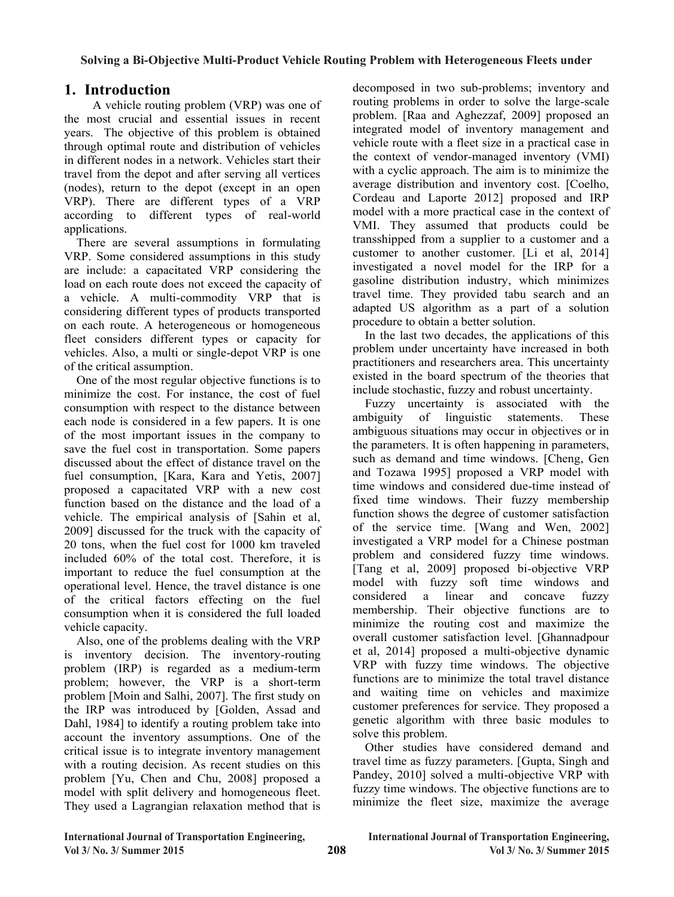## **1. Introduction 1. Introduction**

 A vehicle routing problem (VRP) was one of A vehicle routing problem (VRP) was one of the most crucial and essential issues in recent the most crucial and essential issues in recent years. The objective of this problem is obtained years. The objective of this problem is obtained through optimal route and distribution of vehicles through optimal route and distribution of vehicles in different nodes in a network. Vehicles start their in different nodes in a network. Vehicles start their travel from the depot and after serving all vertices travel from the depot and after serving all vertices  $(nodes)$ , return to the depot (except in an open  $(nodes)$ ), return to the depot (except in an open VRP). There are different types of a VRP VRP). There are different types of a VRP according to different types of real-world according to different types of real-world applications. applications.

There are several assumptions in formulating VRP. Some considered assumptions in this study are include: a capacitated VRP considering the are include: a capacitated VRP considering the load on each route does not exceed the capacity of a vehicle. A multi-commodity VRP that is a vehicle. A multi-commodity v<sub>NP</sub> that is<br>considering different types of products transported considering different types of products transported on each route. A heterogeneous or homogeneous on each route. A heterogeneous or homogeneous fleet considers different types or capacity for fleet considers different types or capacity for vehicles. Also, a multi or single-depot VRP is one<br>of the exities, assumption VRP. Some considered assumptions in this study load on each route does not exceed the capacity of of the critical assumption.

of the critical assumption. One of the most regular objective functions is to One of the most regular objective functions is to minimize the cost. For instance, the cost of fuel minimize the cost. For instance, the cost of fuel consumption with respect to the distance between each node is considered in a few papers. It is one each node is considered in a few papers. It is one of the most important issues in the company to of the most important issues in the company to save the fuel cost in transportation. Some papers save the fuel cost in transportation. Some papers discussed about the effect of distance travel on the discussed about the effect of distance travel on the fuel consumption, [Kara, Kara and Yetis, 2007] fuel consumption, [Kara, Kara and Yetis, 2007] proposed a capacitated VRP with a new cost function based on the distance and the load of a function based on the distance and the load of a vehicle. The empirical analysis of [Sahin et al, vehicle. The empirical analysis of [Sahin et al, 2009] discussed for the truck with the capacity of 20 tons, when the fuel cost for 1000 km traveled included 60% of the total cost. Therefore, it is important to reduce the fuel consumption at the operational level. Hence, the travel distance is one of the critical factors effecting on the fuel consumption when it is considered the full loaded vehicle capacity.

Also, one of the problems dealing with the VRP is inventory decision. The inventory-routing problem (IRP) is regarded as a medium-term problem; however, the VRP is a short-term problem [Moin and Salhi, 2007]. The first study on the IRP was introduced by [Golden, Assad and Dahl, 1984] to identify a routing problem take into account the inventory assumptions. One of the critical issue is to integrate inventory management. with a routing decision. As recent studies on this problem [Yu, Chen and Chu, 2008] proposed a model with split delivery and homogeneous fleet. They used a Lagrangian relaxation method that is critical issue is to integrate inventory management with <sup>a</sup> routing decision. As recent studies on this problem [Yu, Chen and Chu, 2008] proposed a model with split delivery and homogeneous fleet.

decomposed in two sub-problems; inventory and decomposed in two sub-problems; inventory and routing problems in order to solve the large-scale problem. [Raa and Aghezzaf, 2009] proposed an problem. [Raa and Aghezzaf, 2009] proposed an integrated model of inventory management and integrated model of inventory management and vehicle route with a fleet size in a practical case in vehicle route with a fleet size in a practical case in the context of vendor-managed inventory (VMI) the context of vendor-managed inventory (VMI) with a cyclic approach. The aim is to minimize the average distribution and inventory cost. [Coelho, average distribution and inventory cost. [Coelho, Cordeau and Laporte 2012] proposed and IRP Cordeau and Laporte 2012] proposed and IRP model with a more practical case in the context of VMI. They assumed that products could be VMI. They assumed that products could be transshipped from a supplier to a customer and a transshipped from a supplier to a customer and a customer to another customer. [Li et al, 2014] customer to another customer. [Li et al, 2014] investigated a novel model for the IRP for a gasoline distribution industry, which minimizes gasoline distribution industry, which minimizes travel time. They provided tabu search and an travel time. They provided tabu search and an adapted US algorithm as a part of a solution adapted US algorithm as a part of a solution investigated a novel model for the IRP for a procedure to obtain a better solution.

procedure to obtain a better solution. In the last two decades, the applications of this In the last two decades, the applications of this problem under uncertainty have increased in both problem under uncertainty have increased in both practitioners and researchers area. This uncertainty practitioners and researchers area. This uncertainty existed in the board spectrum of the theories that existed in the board spectrum of the theories that include stochastic, fuzzy and robust uncertainty.

Fuzzy uncertainty is associated with the Fuzzy uncertainty is associated with the ambiguity of linguistic statements. These ambiguity of inguistic statements. These ambiguous situations may occur in objectives or in ambiguous situations may occur in objectives or in the parameters. It is often happening in parameters, the parameters. It is often happening in parameters, such as demand and time windows. [Cheng, Gen such as demand and time windows. [Cheng, Gen and Tozawa 1995] proposed a VRP model with and Tozawa 1996] proposed a VPP model with the windows and considered due-time instead of time windows and considered due-time instead of fixed time windows. Their fuzzy membership function shows the degree of customer satisfaction function shows the degree of customer satisfaction of the service time. [Wang and Wen, 2002] investigated a VRP model for a Chinese postman problem and considered fuzzy time windows. Tang et al, 2009] proposed bi-objective VRP model with fuzzy soft time windows and considered a linear and concave fuzzy membership. Their objective functions are to minimize the routing cost and maximize the overall customer satisfaction level. [Ghannadpour et al, 2014] proposed a multi-objective dynamic VRP with fuzzy time windows. The objective functions are to minimize the total travel distance and waiting time on vehicles and maximize customer preferences for service. They proposed a genetic algorithm with three basic modules to solve this problem.

Other studies have considered demand and travel time as fuzzy parameters. [Gupta, Singh and Pandey, 2010] solved a multi-objective VRP with travel time as fuzzy parameters. [Gupta, Singh and Pandey, 2010] solved a multi-objective VRP with fuzzy time windows. The objective functions are to minimize the fleet size, maximize the average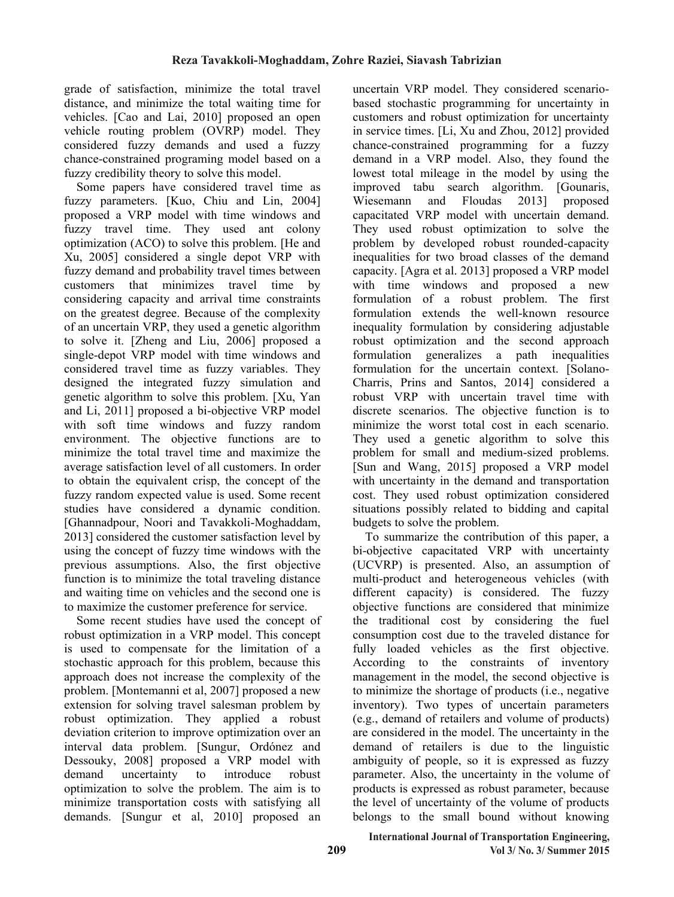grade of satisfaction, minimize the total travel distance, and minimize the total waiting time for vehicles. [Cao and Lai, 2010] proposed an open vehicle routing problem (OVRP) model. They considered fuzzy demands and used a fuzzy chance-constrained programing model based on a fuzzy credibility theory to solve this model.

Some papers have considered travel time as fuzzy parameters. [Kuo, Chiu and Lin, 2004] proposed a VRP model with time windows and fuzzy travel time. They used ant colony optimization (ACO) to solve this problem. [He and Xu, 2005] considered a single depot VRP with fuzzy demand and probability travel times between customers that minimizes travel time by considering capacity and arrival time constraints on the greatest degree. Because of the complexity of an uncertain VRP, they used a genetic algorithm to solve it. [Zheng and Liu, 2006] proposed a single-depot VRP model with time windows and considered travel time as fuzzy variables. They designed the integrated fuzzy simulation and genetic algorithm to solve this problem. [Xu, Yan and Li, 2011] proposed a bi-objective VRP model with soft time windows and fuzzy random environment. The objective functions are to minimize the total travel time and maximize the average satisfaction level of all customers. In order to obtain the equivalent crisp, the concept of the fuzzy random expected value is used. Some recent studies have considered a dynamic condition. [Ghannadpour, Noori and Tavakkoli-Moghaddam, 2013] considered the customer satisfaction level by using the concept of fuzzy time windows with the previous assumptions. Also, the first objective function is to minimize the total traveling distance and waiting time on vehicles and the second one is to maximize the customer preference for service.

Some recent studies have used the concept of robust optimization in a VRP model. This concept is used to compensate for the limitation of a stochastic approach for this problem, because this approach does not increase the complexity of the problem. [Montemanni et al, 2007] proposed a new extension for solving travel salesman problem by robust optimization. They applied a robust deviation criterion to improve optimization over an interval data problem. [Sungur, Ordónez and Dessouky, 2008] proposed a VRP model with demand uncertainty to introduce robust optimization to solve the problem. The aim is to minimize transportation costs with satisfying all demands. [Sungur et al, 2010] proposed an uncertain VRP model. They considered scenariobased stochastic programming for uncertainty in customers and robust optimization for uncertainty in service times. [Li, Xu and Zhou, 2012] provided chance-constrained programming for a fuzzy demand in a VRP model. Also, they found the lowest total mileage in the model by using the improved tabu search algorithm. [Gounaris, Wiesemann and Floudas 2013] proposed capacitated VRP model with uncertain demand. They used robust optimization to solve the problem by developed robust rounded-capacity inequalities for two broad classes of the demand capacity. [Agra et al. 2013] proposed a VRP model with time windows and proposed a new formulation of a robust problem. The first formulation extends the well-known resource inequality formulation by considering adjustable robust optimization and the second approach formulation generalizes a path inequalities formulation for the uncertain context. [Solano-Charris, Prins and Santos, 2014] considered a robust VRP with uncertain travel time with discrete scenarios. The objective function is to minimize the worst total cost in each scenario. They used a genetic algorithm to solve this problem for small and medium-sized problems. [Sun and Wang, 2015] proposed a VRP model with uncertainty in the demand and transportation cost. They used robust optimization considered situations possibly related to bidding and capital budgets to solve the problem.

To summarize the contribution of this paper, a bi-objective capacitated VRP with uncertainty (UCVRP) is presented. Also, an assumption of multi-product and heterogeneous vehicles (with different capacity) is considered. The fuzzy objective functions are considered that minimize the traditional cost by considering the fuel consumption cost due to the traveled distance for fully loaded vehicles as the first objective. According to the constraints of inventory management in the model, the second objective is to minimize the shortage of products (i.e., negative inventory). Two types of uncertain parameters (e.g., demand of retailers and volume of products) are considered in the model. The uncertainty in the demand of retailers is due to the linguistic ambiguity of people, so it is expressed as fuzzy parameter. Also, the uncertainty in the volume of products is expressed as robust parameter, because the level of uncertainty of the volume of products belongs to the small bound without knowing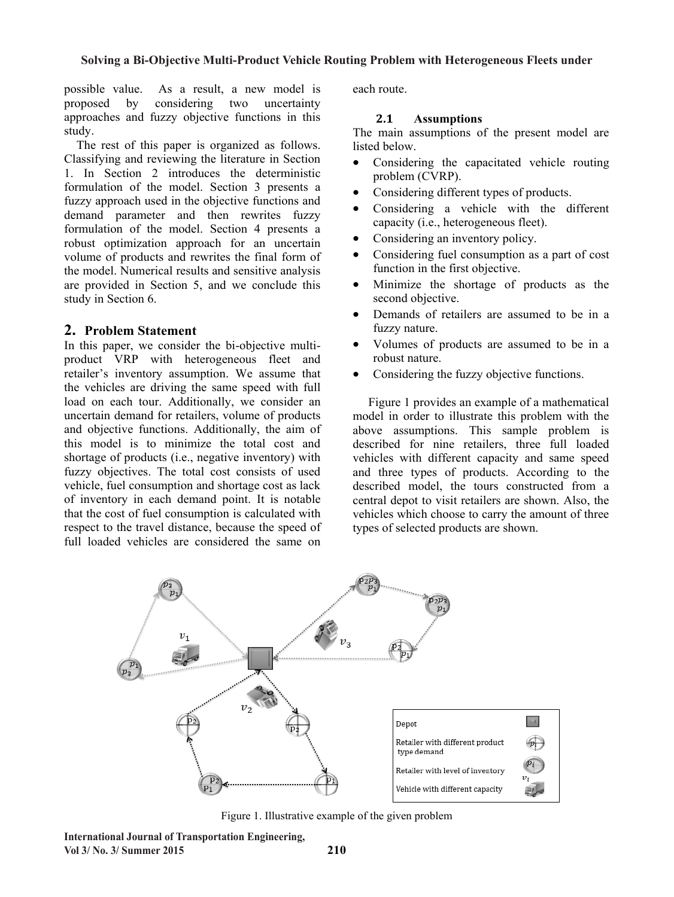possible value. As a result, a new model is proposed by considering two uncertainty approaches and fuzzy objective functions in this study.

The rest of this paper is organized as follows. Classifying and reviewing the literature in Section 1. In Section 2 introduces the deterministic formulation of the model. Section 3 presents a fuzzy approach used in the objective functions and demand parameter and then rewrites fuzzy formulation of the model. Section 4 presents a robust optimization approach for an uncertain volume of products and rewrites the final form of the model. Numerical results and sensitive analysis are provided in Section 5, and we conclude this study in Section 6.

#### **2. Problem Statement**

In this paper, we consider the bi-objective multiproduct VRP with heterogeneous fleet and retailer's inventory assumption. We assume that the vehicles are driving the same speed with full load on each tour. Additionally, we consider an uncertain demand for retailers, volume of products and objective functions. Additionally, the aim of this model is to minimize the total cost and shortage of products (i.e., negative inventory) with fuzzy objectives. The total cost consists of used vehicle, fuel consumption and shortage cost as lack of inventory in each demand point. It is notable that the cost of fuel consumption is calculated with respect to the travel distance, because the speed of full loaded vehicles are considered the same on

each route.

#### **2.1 Assumptions**

The main assumptions of the present model are listed below.

- Considering the capacitated vehicle routing problem (CVRP).
- Considering different types of products.
- Considering a vehicle with the different capacity (i.e., heterogeneous fleet).
- Considering an inventory policy.
- Considering fuel consumption as a part of cost function in the first objective.
- Minimize the shortage of products as the second objective.
- Demands of retailers are assumed to be in a fuzzy nature.
- Volumes of products are assumed to be in a robust nature.
- Considering the fuzzy objective functions.

 Figure 1 provides an example of a mathematical model in order to illustrate this problem with the above assumptions. This sample problem is described for nine retailers, three full loaded vehicles with different capacity and same speed and three types of products. According to the described model, the tours constructed from a central depot to visit retailers are shown. Also, the vehicles which choose to carry the amount of three types of selected products are shown.



Figure 1. Illustrative example of the given problem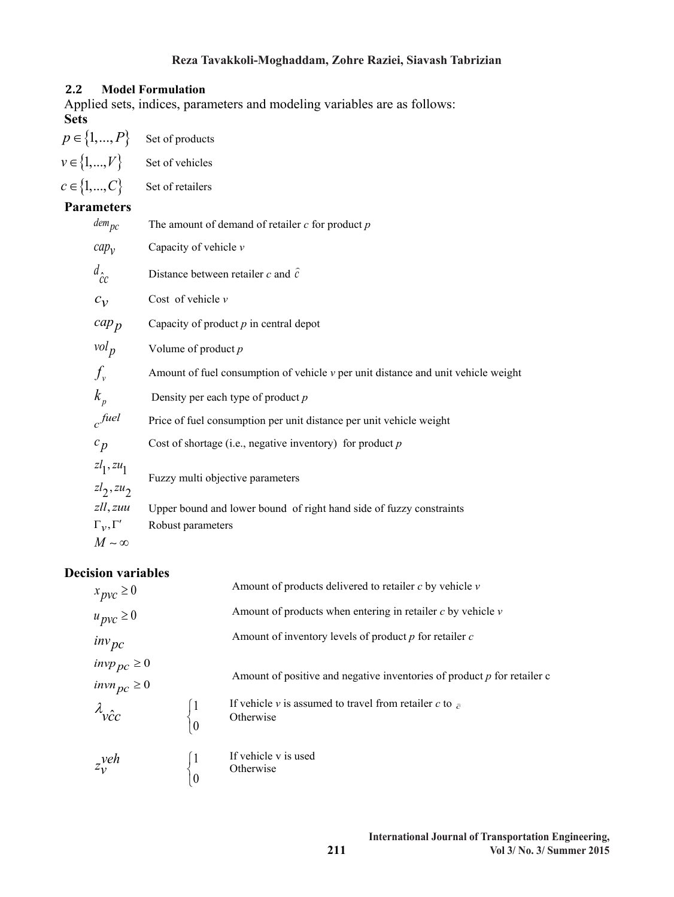## **Reza Tavakkoli-Moghaddam, Zohre Raziei, Siavash Tabrizian**

#### **2.2 Model Formulation**

Applied sets, indices, parameters and modeling variables are as follows: **Sets**

| $p \in \{1, , P\}$         | Set of products                                                                       |
|----------------------------|---------------------------------------------------------------------------------------|
| $v \in \{1, , V\}$         | Set of vehicles                                                                       |
| $c \in \{1, , C\}$         | Set of retailers                                                                      |
| <b>Parameters</b>          |                                                                                       |
| $\omega$ dem <sub>pc</sub> | The amount of demand of retailer $c$ for product $p$                                  |
| $cap_v$                    | Capacity of vehicle $\nu$                                                             |
| $d_{\hat{c}c}$             | Distance between retailer c and $\hat{c}$                                             |
| $c_v$                      | Cost of vehicle $v$                                                                   |
| $cap_p$                    | Capacity of product $p$ in central depot                                              |
| $vol_p$                    | Volume of product $p$                                                                 |
| $f_{\nu}$                  | Amount of fuel consumption of vehicle $\nu$ per unit distance and unit vehicle weight |
| $k_{n}$                    | Density per each type of product $p$                                                  |
| c <sup>fuel</sup>          | Price of fuel consumption per unit distance per unit vehicle weight                   |
| $c_p$                      | Cost of shortage (i.e., negative inventory) for product $p$                           |
| $z_l$ , $zu_1$             | Fuzzy multi objective parameters                                                      |
| $zl_2, zu_2$               |                                                                                       |
| zll, zuu                   | Upper bound and lower bound of right hand side of fuzzy constraints                   |
| $\Gamma_{\nu}, \Gamma'$    | Robust parameters                                                                     |

$$
M\sim\infty
$$

## **Decision variables**

 $\overline{\mathcal{L}}$ 

|                                                    |                | Amount of products delivered to retailer $c$ by vehicle $\nu$               |
|----------------------------------------------------|----------------|-----------------------------------------------------------------------------|
| $x_{pvc} \ge 0$<br>$u_{pvc} \ge 0$                 |                | Amount of products when entering in retailer $c$ by vehicle $\nu$           |
|                                                    |                | Amount of inventory levels of product $p$ for retailer $c$                  |
| $inv_{pc}$<br>$inv_{pc} \ge 0$<br>$inv_{pc} \ge 0$ |                | Amount of positive and negative inventories of product $p$ for retailer c   |
| $\lambda_{\stackrel{\frown}{\mathcal{VC}}}$        | $\overline{0}$ | If vehicle v is assumed to travel from retailer c to $\bar{c}$<br>Otherwise |
| $z_1$ <sup>yeh</sup>                               |                | If vehicle v is used<br>Otherwise                                           |

**211**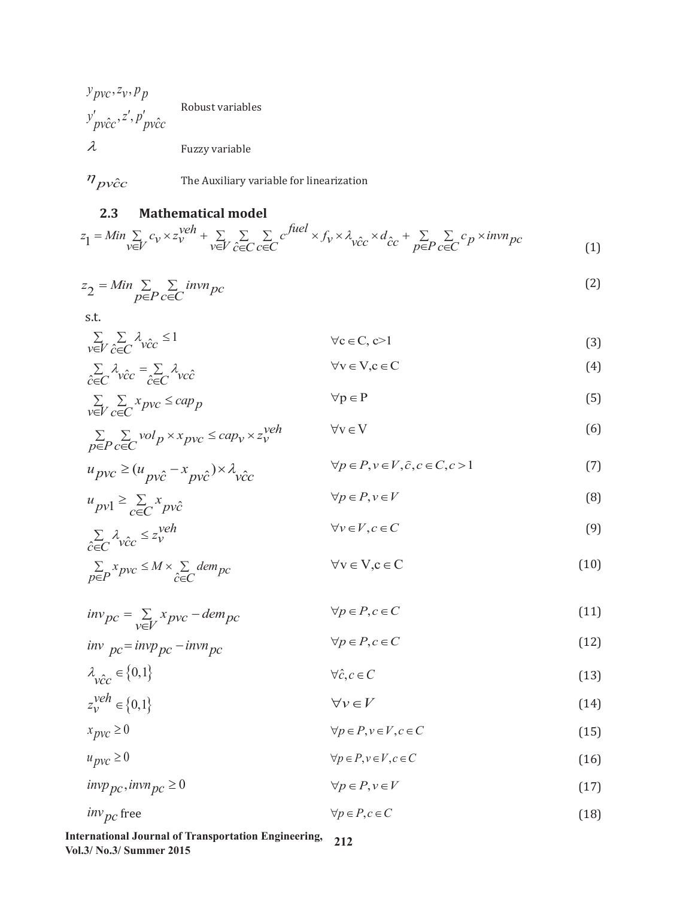Robust variables  $y_{pvc}, z_v, p_p$  $y'_{\ p \hat{\text{v}c} \text{c}}, z', p'_{\ p \hat{\text{v}c} \text{c}}$  $\lambda$  Fuzzy variable



# **2.3 Mathematical model**

$$
z_1 = Min \sum_{v \in V} c_v \times z_v^{veh} + \sum_{v \in V} \sum_{\hat{c} \in C} \sum_{c \in C} c^{fuel} \times f_v \times \lambda_{\hat{v}\hat{c}c} \times d_{\hat{c}c} + \sum_{p \in P} \sum_{c \in C} c_p \times invn_{pc}
$$
\n(1)

$$
z_2 = Min \sum_{p \in P} \sum_{c \in C} invn_{pc}
$$
 (2)

s.t.

$$
\sum_{v \in V} \sum_{\hat{c} \in C} \lambda_{\hat{v}\hat{c}c} \le 1 \qquad \forall c \in C, c > 1 \tag{3}
$$

$$
\sum_{\hat{c}\in C} \lambda_{\hat{v}\hat{c}c} = \sum_{\hat{c}\in C} \lambda_{\hat{v}\hat{c}} \qquad \forall v \in V, c \in C
$$
 (4)

$$
\sum_{v \in V} \sum_{c \in C} x_{pvc} \le cap_p \qquad \forall p \in P \tag{5}
$$

$$
\sum_{p \in P} \sum_{c \in C} vol_p \times x_{pvc} \le cap_v \times z_v^{veh} \qquad \forall v \in V
$$
\n(6)

$$
u_{pvc} \ge (u_{pvc} - x_{pv\hat{c}}) \times \lambda_{v\hat{c}c} \qquad \forall p \in P, v \in V, \hat{c}, c \in C, c > 1
$$
 (7)

$$
u_{pv1} \ge \sum_{c \in C} x_{pv\hat{c}} \tag{8}
$$

$$
\sum_{\hat{c} \in C} \lambda_{\hat{v}\hat{c}c} \leq z_v^{\text{veh}} \qquad \forall v \in V, c \in C \tag{9}
$$

$$
\sum_{p \in P} x_{pvc} \le M \times \sum_{\hat{c} \in C} \text{dem}_{pc} \qquad \forall v \in V, c \in C \tag{10}
$$

$$
inv_{pc} = \sum_{v \in V} x_{pvc} - dem_{pc} \qquad \forall p \in P, c \in C
$$
 (11)

$$
inv_{\rho c} = inv_{\rho c} - inv_{\rho c} \qquad \qquad \forall \rho \in P, c \in C
$$
\n<sup>(12)</sup>

$$
\lambda_{\hat{vec}} \in \{0,1\} \qquad \forall \hat{c}, c \in C \tag{13}
$$

$$
z_v^{\text{veh}} \in \{0, 1\} \qquad \forall v \in V \tag{14}
$$

$$
x_{pvc} \ge 0 \qquad \qquad \forall p \in P, v \in V, c \in C \tag{15}
$$

$$
u_{pvc} \ge 0 \qquad \qquad \forall p \in P, v \in V, c \in C \tag{16}
$$

$$
invp_{pc}, invn_{pc} \ge 0 \qquad \qquad \forall p \in P, v \in V \tag{17}
$$

$$
inv_{pc} \text{free} \qquad \qquad \forall p \in P, c \in C \tag{18}
$$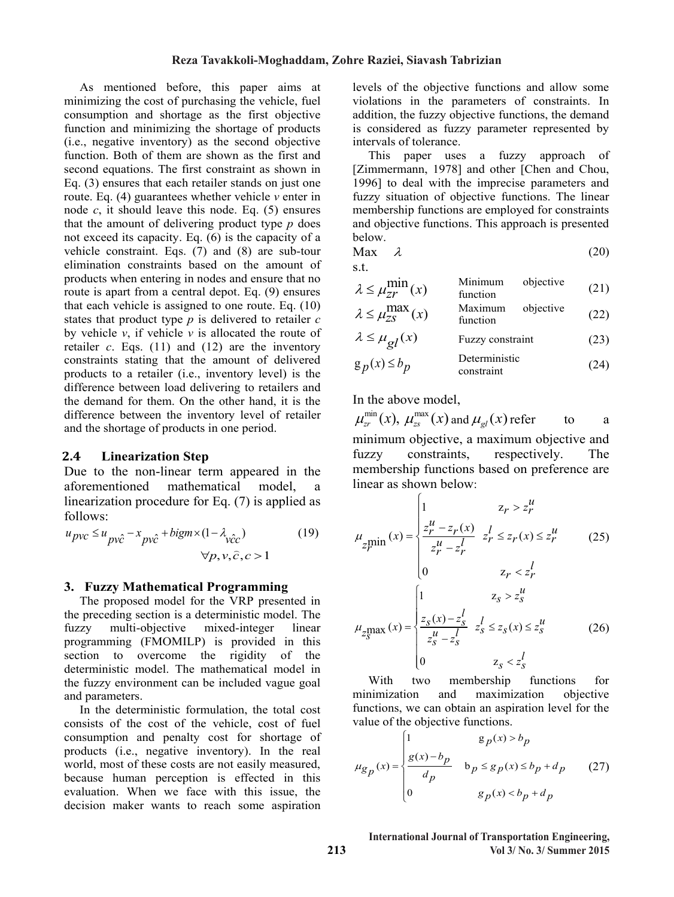As mentioned before, this paper aims at As mentioned before, this paper aims at minimizing the cost of purchasing the vehicle, fuel minimizing the cost of purchasing the vehicle, fuel consumption and shortage as the first objective consumption and shortage as the first objective function and minimizing the shortage of products (i.e., negative inventory) as the second objective (i.e., negative inventory) as the second objective function. Both of them are shown as the first and second equations. The first constraint as shown in Eq.  $(3)$  ensures that each retailer stands on just one route. Eq.  $(4)$  guarantees whether vehicle *v* enter in node  $c$ , it should leave this node. Eq. (5) ensures that the amount of delivering product type  $p$  does not exceed its capacity. Eq. (6) is the capacity of a not exceed its capacity. Eq. (6) is the capacity of a vehicle constraint. Eqs. (7) and (8) are sub-tour vehicle constraint. Eqs. (7) and (8) are sub-tour elimination constraints based on the amount of elimination constraints based on the amount of products when entering in nodes and ensure that no products when entering in nodes and ensure that no route is apart from a central depot. Eq. (9) ensures route is apart from a central depot. Eq. (9) ensures that each vehicle is assigned to one route. Eq. (10) states that product type  $p$  is delivered to retailer  $c$ by vehicle  $v$ , if vehicle  $v$  is allocated the route of by vehicle *v*, if vehicle *v* is allocated the route of retailer *c*. Eqs. (11) and (12) are the inventory retailer *c*. Eqs. (11) and (12) are the inventory constraints stating that the amount of delivered constraints stating that the amount of delivered products to a retailer (i.e., inventory level) is the products to a retailer (i.e., inventory level) is the difference between load delivering to retailers and the demand for them. On the other hand, it is the difference between the inventory level of retailer and the shortage of products in one period.  $\overline{c}$  in one period. that the amount of delivering product type *p* does

#### **2.4 Linearization Step**

Due to the non-linear term appeared in the aforementioned mathematical model, a linearization procedure for Eq.  $(7)$  is applied as follows:  $\frac{1}{2}$  is a position procedure for  $\frac{1}{2}$  is applied as  $\frac{1}{2}$  is applied as  $\frac{1}{2}$  is applied as  $\frac{1}{2}$  is a position of  $\frac{1}{2}$  is a position of  $\frac{1}{2}$  is a position of  $\frac{1}{2}$  is a positi

$$
u_{pvc} \le u_{pv\hat{c}} - x_{pv\hat{c}} + bigm \times (1 - \lambda_{v\hat{c}c})
$$
  
 
$$
\forall p, v, \hat{c}, c > 1
$$
 (19)

#### **3. Fuzzy Mathematical Programming**

The proposed model for the VRP presented in the preceding section is a deterministic model. The fuzzy multi-objective mixed-integer linear programming (FMOMILP) is provided in this section to overcome the rigidity of the deterministic model. The mathematical model in the fuzzy environment can be included vague goal and parameters. and parameters.

In the deterministic formulation, the total cost consists of the cost of the vehicle, cost of fuel consumption and penalty cost for shortage of products (i.e., negative inventory). In the real world, most of these costs are not easily measured, because human perception is effected in this  $\alpha$  because numan perception is enected in this evaluation. When we face with this issue, the decision maker wants to reach some aspiration world, most of these costs are not easily measured,

levels of the objective functions and allow some levels of the objective functions and allow some violations in the parameters of constraints. In violations in the parameters of constraints. In addition, the fuzzy objective functions, the demand addition, the fuzzy objective functions, the demand is considered as fuzzy parameter represented by is considered as fuzzy parameter represented by intervals of tolerance. intervals of tolerance.

This paper uses a fuzzy approach of [Zimmermann, 1978] and other [Chen and Chou, [Zimmermann, 1978] and other [Chen and Chou, 1996] to deal with the imprecise parameters and 1996] to deal with the imprecise parameters and fuzzy situation of objective functions. The linear membership functions are employed for constraints and objective functions. This approach is presented and objective functions. This approach is presented below. below. membership functions are employed for constraints

$$
\text{Max} \quad \lambda \tag{20}
$$

s.t. s.t.

$$
\lambda \le \mu_{Zr}^{\min} (x) \qquad \text{Minimum} \qquad \text{objective} \qquad (21)
$$
\n
$$
\lambda \le \mu_{ZS}^{\max} (x) \qquad \text{Maximum} \qquad \text{objective} \qquad (22)
$$
\n
$$
(22)
$$

$$
\lambda \le \mu_{2S}^{\text{max}}(x) \qquad \text{function} \tag{22}
$$
\n
$$
\lambda \le \mu_{gl}(x) \qquad \text{Fuzzy constraint} \tag{23}
$$

$$
g_p(x) \le b_p
$$
 Deterministic constraint (24)

In the above model,

$$
\mu_{zr}^{\min}(x)
$$
,  $\mu_{zs}^{\max}(x)$  and  $\mu_{gl}(x)$  refer to a  
minimum objective, a maximum objective and

fuzzy constraints, respectively. The membership functions based on preference are  $linear$  as shown below:

$$
\mu_{z_{r}^{\min}}(x) = \begin{cases}\n1 & z_{r} > z_{r}^{u} \\
\frac{z_{r}^{u} - z_{r}(x)}{z_{r}^{u} - z_{r}^{l}} & z_{r}^{l} \le z_{r}(x) \le z_{r}^{u} \\
0 & z_{r} < z_{r}^{l}\n\end{cases}
$$
\n
$$
\mu_{z_{s}^{\max}}(x) = \begin{cases}\n1 & z_{s} > z_{s}^{u} \\
\frac{z_{s}(x) - z_{s}^{l}}{z_{s}^{u} - z_{s}^{l}} & z_{s}^{l} \le z_{s}(x) \le z_{s}^{u} \\
0 & z_{s} < z_{s}^{l}\n\end{cases}
$$
\n(26)

With two membership functions for *l* two minimization and maximization objective functions, we can obtain an aspiration level for the value of the objective functions. minimization and maximization objective

$$
\mu_{g_p}(x) = \begin{cases}\n1 & g_p(x) > b_p \\
\frac{g(x) - b_p}{d_p} & b_p \le g_p(x) \le b_p + d_p \\
0 & g_p(x) < b_p + d_p\n\end{cases}
$$
\n(27)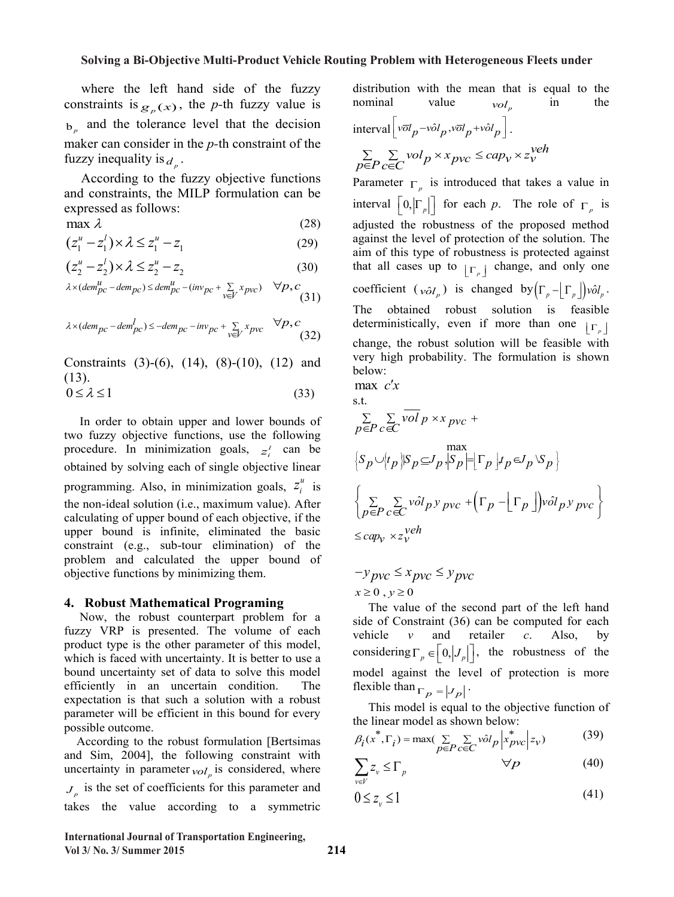where the left hand side of the fuzzy constraints is  $g_p(x)$ , the *p*-th fuzzy value is b*<sup>p</sup>* and the tolerance level that the decision b*<sup>p</sup>* and the tolerance level that the decision maker can consider in the *p-*th constraint of the maker can consider in the *p-*th constraint of the fuzzy inequality is  $d_p$ .

 According to the fuzzy objective functions According to the fuzzy objective functions and constraints, the MILP formulation can be and constraints, the MILP formulation can be expressed as follows: expressed as follows:

$$
\max \lambda \tag{28}
$$

$$
(z_1^u - z_1^l) \times \lambda \le z_1^u - z_1 \tag{29}
$$

$$
(z_2^u - z_2^l) \times \lambda \le z_2^u - z_2 \tag{30}
$$

$$
\lambda \times (dem_{pc}^u - dem_{pc}) \le dem_{pc}^u - (inv_{pc} + \sum_{v \in V} x_{pvc}) \quad \forall p, c
$$
\n(31)

$$
\lambda \times (dem_{pc} - dem_{pc}^l) \le -dem_{pc} - inv_{pc} + \sum_{v \in V} x_{pvc} \quad \forall p, c
$$
 (32)

Constraints (3)-(6), (14), (8)-(10), (12) and  $(12)$  $(13).$ 

$$
0 \le \lambda \le 1 \tag{33}
$$

In order to obtain upper and lower bounds of two fuzzy objective functions, use the following two fuzzy objective functions, use the following procedure. In minimization goals,  $z_i^i$  can be obtained by solving goals of simple objective linear obtained by solving each of single objective linear programming. Also, in minimization goals,  $z_i^u$  is the non-ideal solution (i.e., maximum value). After calculating of upper bound of each objective, if the calculating of upper bound of each objective, if the upper bound is infinite, eliminated the basic upper bound is infinite, eliminated the basic constraint (e.g., sub-tour elimination) of the constraint (e.g., sub-tour elimination) of the problem and calculated the upper bound of problem and calculated the upper bound of objective functions by minimizing them. objective functions by minimizing them. In order to obtain upper and lower bounds of the non-ideal solution (i.e., maximum value). After

#### **4. Robust Mathematical Programing**

**4. Robust Mathematical Programming**<br>
Now, the robust counterpart problem for a fuzzy VRP is presented. The volume of each product type is the other parameter of this model, which is faced with uncertainty. It is better to use a which is faced with uncertainty. It is better to use a bound uncertainty set of data to solve this model efficiently in an uncertain condition. The expectation is that such a solution with a robust parameter will be efficient in this bound for every parameter will be efficient in this bound for every possible outcome.

According to the robust formulation [Bertsimas] and Sim,  $2004$ ], the following constraint with uncertainty in parameter  $_{vol_p}$  is considered, where  $J_p$  is the set of coefficients for this parameter and takes the value according to a symmetric

 $\frac{1}{\sqrt{2}}$  takes the value according to a symmetric to a symmetric symmetric symmetric symmetric symmetric symmetric symmetric symmetric symmetric symmetric symmetric symmetric symmetric symmetric symmetric symmetric sy

distribution with the mean that is equal to the distribution with the mean that is equal to the nominal value  $vol_p$  in the nominal value  $vol_p$  in the

interval 
$$
\left[ v \overline{o} l_p - v \hat{o} l_p, v \overline{o} l_p + v \hat{o} l_p \right]
$$
.  
\n
$$
\sum_{p \in P} \sum_{c \in C} vol_p \times x_{pvc} \leq cap_v \times z_v^{veh}
$$

Parameter  $\Gamma_p$  is introduced that takes a value in interval  $\lfloor 0, \lvert \Gamma_p \rvert \rfloor$  for each *p*. The role of  $\Gamma_p$  is adjusted the robustness of the proposed method adjusted the robustness of the proposed method against the level of protection of the solution. The against the level of protection of the solution. The aim of this type of robustness is protected against aim of this type of robustness is protected against that all cases up to  $\lfloor r \rfloor$  change, and only one coefficient  $(v \partial l_p)$  is changed by  $(\Gamma_p - [\Gamma_p]) v \partial l_p$ . The obtained robust solution is feasible deterministically, even if more than one  $\lfloor r_p \rfloor$ change, the robust solution will be feasible with very high probability. The formulation is shown below: below: max  $c'x$ 

 $\max$  *c'x*  $\sigma$ +

s.t.  
\n
$$
\sum_{p \in P} \sum_{c \in C} \overline{vol}_p \times x_{pvc} +
$$
\n
$$
\left\{ S_p \cup \left\{ t_p \middle| S_p \subseteq J_p, \left| S_p \right| = \left| \Gamma_p \right| t_p \in J_p \setminus S_p \right\} \right\}
$$
\n
$$
\left\{ \sum_{p \in P} \sum_{c \in C} \overline{vol}_p y_{pvc} + \left( \Gamma_p - \left| \Gamma_p \right| \right) \overline{vol}_p y_{pvc} \right\}
$$
\n
$$
\leq cap_v \times z_v^{veh}
$$

$$
-y_{pvc} \le x_{pvc} \le y_{pvc}
$$
  

$$
x \ge 0, y \ge 0
$$

 $x \ge 0$ ,  $y \ge 0$ <br>The value of the second part of the left hand side of Constraint (36) can be computed for each vehicle  $v$  and retailer  $c$ . Also, by vehicle *v* and retailer c. Also, by considering  $\Gamma_p \in \left[0, |J_p|\right]$ , the robustness of the model against the level of protection is more model against the level of protection is more model against the level of protection is more flexible than  $\Gamma_p = |J_p|$ .

 $\begin{bmatrix} \n1 & p \end{bmatrix}^T$ <br>This model is equal the linear model as shown below: This model is equal to the objective function of

$$
\beta_i(x^*, \Gamma_i) = \max(\sum_{p \in P} \sum_{c \in C} \hat{vol}_p \left| x_{pvc}^* \right| z_v)
$$
(39)

$$
\sum_{v \in V} z_v \le \Gamma_p \qquad \qquad \forall p \tag{40}
$$

$$
0 \le z_{\nu} \le 1 \tag{41}
$$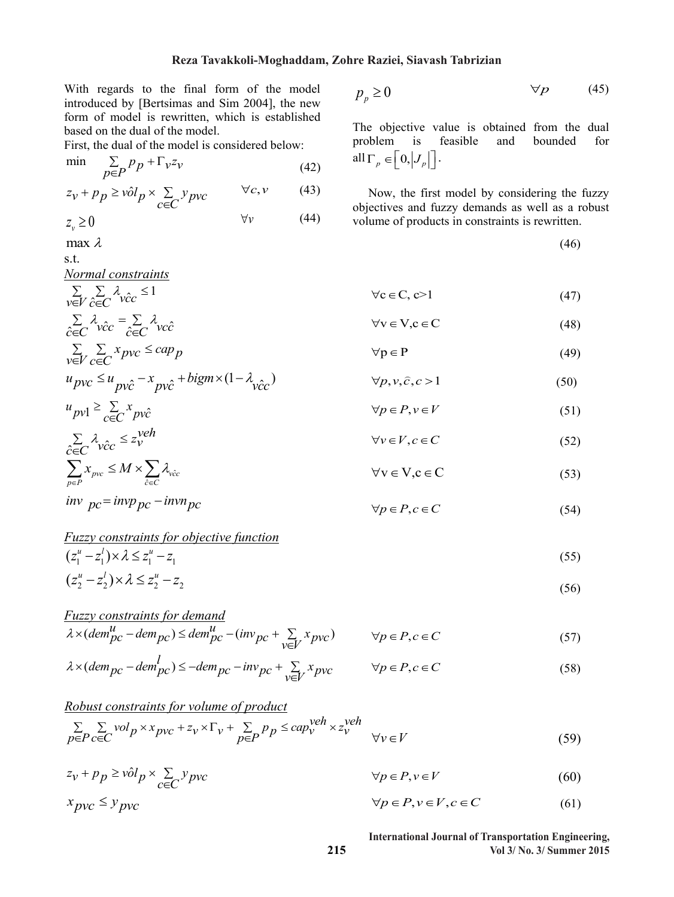With regards to the final form of the model introduced by [Bertsimas and Sim 2004], the new form of model is rewritten, which is established based on the dual of the model.

First, the dual of the model is considered below:

$$
\min \sum_{p \in P} p_p + \Gamma_v z_v \tag{42}
$$

$$
z_v + p_p \geq \hat{vol}_p \times \sum_{c \in C} y_{pvc} \qquad \forall c, v \tag{43}
$$

$$
z_v \ge 0 \qquad \qquad \forall v \qquad (44)
$$

$$
\max \lambda \tag{46}
$$
 s.t.

*Normal constraints*

$$
\sum_{v \in V} \sum_{\hat{c} \in C} \lambda_{v\hat{c}c} \le 1 \qquad \forall c \in C, c > 1 \tag{47}
$$

$$
\sum_{\hat{c}\in C} \lambda_{\hat{v}\hat{c}c} = \sum_{\hat{c}\in C} \lambda_{\hat{v}\hat{c}c} \qquad \forall v \in V, c \in C
$$
\n(48)\n
$$
\sum_{v \in V} \sum_{c\in C} x_{pvc} \leq cap_p \qquad \forall p \in P
$$
\n(49)

$$
\overline{v} = \overline{v}
$$
  
\n
$$
u_{\overline{p}v\overline{c}} = u_{\overline{p}v\overline{c}} - x_{\overline{p}v\overline{c}} + bigm \times (1 - \lambda_{\overline{v}\overline{c}c})
$$
  
\n
$$
\forall p \in \Gamma
$$
  
\n
$$
\forall p, v, \overline{c}, c > 1
$$
  
\n(50)

$$
u_{pv1} \ge \sum_{c \in C} x_{pv\hat{c}}
$$
  
\n
$$
\forall p \in P, v \in V
$$
  
\n
$$
\forall v \in V, c \in C
$$
 (51)

$$
\sum_{\hat{c}\in C} \lambda_{\hat{v}\hat{c}c} \leq z_{\hat{v}}^{\text{V}} \qquad \forall v \in V, c \in C
$$
\n
$$
\sum_{p\in P} x_{\hat{p}v} \leq M \times \sum_{\hat{c}\in C} \lambda_{\hat{v}\hat{c}c} \qquad \forall v \in V, c \in C
$$
\n(52)

$$
inv\ \ pc = invp\ \ pc \ \ -invp\ \ \text{for} \ \ vp \in P, c \in C \tag{54}
$$

Fuzzy constraints for objective function  
\n
$$
(z_1^u - z_1^1) \times \lambda \le z_1^u - z_1
$$
\n
$$
(55)
$$
\n
$$
(z_1^u - z_1^1) \times \lambda \le z_1^u - z_1
$$

$$
(z_2^u - z_2^l) \times \lambda \le z_2^u - z_2 \tag{56}
$$

Fuzzy constraints for demand  
\n
$$
\lambda \times (dem_{pc}^u - dem_{pc}) \le dem_{pc}^u - (inv_{pc} + \sum_{v \in V} x_{pvc}) \qquad \forall p \in P, c \in C
$$
\n(57)

$$
\lambda \times (dem_{pc} - dem_{pc}^l) \le -dem_{pc} - inv_{pc} + \sum_{v \in V} x_{pvc} \qquad \forall p \in P, c \in C
$$
\n
$$
(58)
$$

Robust constraints for volume of product  
\n
$$
\sum_{p \in P} \sum_{c \in C} vol_p \times x_{pvc} + z_v \times \Gamma_v + \sum_{p \in P} p_p \le cap_v^{veh} \times z_v^{veh}
$$
\n
$$
\forall v \in V
$$
\n(59)

$$
z_v + p_p \geq \hat{vol}_p \times \sum_{c \in C} y_{pvc} \qquad \qquad \forall p \in P, v \in V \tag{60}
$$

$$
x_{pvc} \le y_{pvc} \qquad \qquad \forall p \in P, v \in V, c \in C \tag{61}
$$

**International Journal of Transportation Engineering, Vol 3/ No. 3/ Summer 2015**

<sup>0</sup> *<sup>p</sup> <sup>p</sup> <sup>p</sup>* (45)

The objective value is obtained from the dual<br>problem is feasible and bounded for problem is feasible and bounded for

 Now, the first model by considering the fuzzy objectives and fuzzy demands as well as a robust volume of products in constraints is rewritten.

$$
\forall v \in V.c \in C \tag{48}
$$

$$
\forall v \in V, c \in C
$$
 (4)

$$
\forall p \in P \tag{49}
$$

$$
\forall c \in C, c > 1
$$
  

$$
\forall v \in V, c \in C
$$

all  $\Gamma_p \in \left[0, \left|J_p\right|\right].$ 

$$
\forall c \in C, c > 1
$$
  

$$
\forall v \in V, c \in C
$$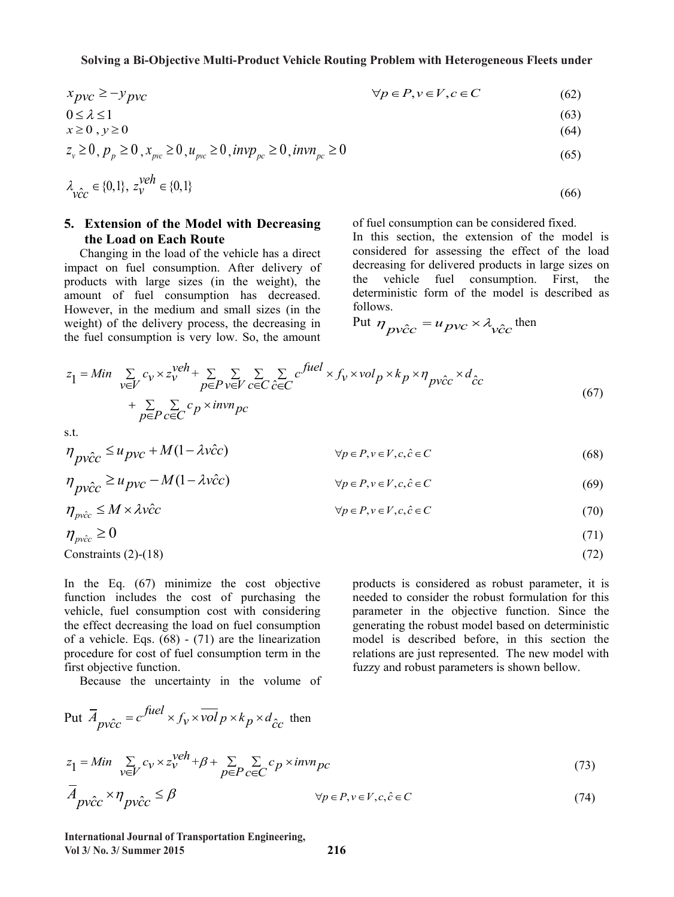$$
x_{pvc} \ge -y_{pvc} \qquad \qquad \forall p \in P, v \in V, c \in C \tag{62}
$$

$$
0 \le \lambda \le 1 \tag{63}
$$

$$
x \ge 0, y \ge 0 \tag{64}
$$

$$
z_v \ge 0, p_p \ge 0, x_{pvc} \ge 0, u_{pvc} \ge 0, invp_{pc} \ge 0, invn_{pc} \ge 0
$$
\n(65)

$$
\lambda_{\hat{v}c\hat{c}} \in \{0,1\}, \ z_{\hat{v}}^{\text{veh}} \in \{0,1\} \tag{66}
$$

#### **5. Extension of the Model with Decreasing the Load on Each Route**

 Changing in the load of the vehicle has a direct impact on fuel consumption. After delivery of products with large sizes (in the weight), the amount of fuel consumption has decreased. However, in the medium and small sizes (in the weight) of the delivery process, the decreasing in the fuel consumption is very low. So, the amount of fuel consumption can be considered fixed.

In this section, the extension of the model is considered for assessing the effect of the load decreasing for delivered products in large sizes on the vehicle fuel consumption. First, the deterministic form of the model is described as follows.

Put 
$$
\eta_{pv\hat{c}c} = u_{pvc} \times \lambda_{v\hat{c}c}
$$
 then

$$
z_{1} = Min \sum_{v \in V} c_{v} \times z_{v}^{veh} + \sum_{p \in P} \sum_{v \in V} \sum_{c \in C} \sum_{\hat{c} \in C} c^{fuel} \times f_{v} \times vol_{p} \times k_{p} \times \eta_{p\hat{v}\hat{c}} \times d_{\hat{c}c} + \sum_{p \in P} \sum_{c \in C} c_{p} \times invn_{pc}
$$
\n
$$
(67)
$$

s.t.

(1 ) <sup>ˆ</sup> <sup>ˆ</sup> *u M vcc pvc pvcc p Pv Vcc C* , ,, <sup>ˆ</sup> (68)

$$
\eta_{\text{p}\hat{\text{v}c}} \ge u_{\text{p}\hat{\text{v}c}} - M(1 - \lambda \hat{\text{v}c}) \qquad \forall p \in P, \text{v} \in V, c, \hat{c} \in C
$$
\n
$$
(69)
$$

$$
\eta_{\text{pv\^c}} \le M \times \lambda \hat{\text{vcc}} \qquad \qquad \forall p \in P, v \in V, c, \hat{c} \in C \tag{70}
$$

$$
\eta_{\text{prec}} \ge 0 \tag{71}
$$
  
Constraints (2)-(18)

In the Eq. (67) minimize the cost objective function includes the cost of purchasing the vehicle, fuel consumption cost with considering the effect decreasing the load on fuel consumption of a vehicle. Eqs. (68) - (71) are the linearization procedure for cost of fuel consumption term in the first objective function.

Because the uncertainty in the volume of

products is considered as robust parameter, it is needed to consider the robust formulation for this parameter in the objective function. Since the generating the robust model based on deterministic model is described before, in this section the relations are just represented. The new model with fuzzy and robust parameters is shown bellow.

Put 
$$
\overline{A}_{pv\hat{c}c} = c^{\text{fuel}} \times f_v \times \overline{vol} \, p \times k_p \times d_{\hat{c}c}
$$
 then  
\n
$$
z_1 = Min \sum_{v \in V} c_v \times z_v^{\text{veh}} + \beta + \sum_{p \in P} \sum_{c \in C} c_p \times \overline{inv} \, p_c
$$
\n
$$
\overline{A}_{pv\hat{c}c} \times \eta_{pv\hat{c}c} \leq \beta \qquad \forall p \in P, v \in V, c, \hat{c} \in C
$$
\n(74)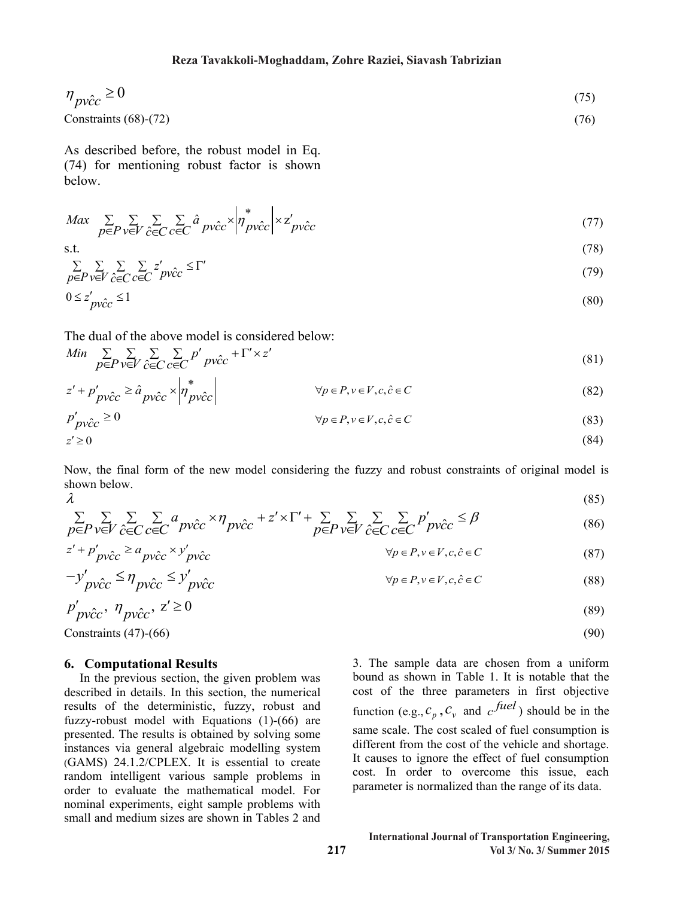$$
\eta_{\text{pv}\hat{c}c} \ge 0\tag{75}
$$

$$
Constraints (68)-(72) \t(76)
$$

As described before, the robust model in Eq. (74) for mentioning robust factor is shown below.

$$
Max \sum_{p \in P} \sum_{v \in V} \sum_{\hat{c} \in C} \sum_{c \in C} \hat{a}_{pv\hat{c}c} \times \left| \eta^*_{pv\hat{c}c} \right| \times z'_{pv\hat{c}c}
$$
\n
$$
\tag{77}
$$

$$
\text{s.t.}\tag{78}
$$

$$
\sum_{p \in P} \sum_{v \in V} \sum_{\hat{c} \in C} \sum_{c \in C} z'_{\hat{p}\hat{v}\hat{c}c} \leq \Gamma'
$$
\n
$$
0 \leq z'_{\hat{p}\hat{v}\hat{c}c} \leq 1
$$
\n(79)

The dual of the above model is considered below:

$$
\begin{array}{ll}\n\text{Min} & \sum_{p \in P} \sum_{\mathbf{v} \in V} \sum_{\mathbf{c} \in C} \sum_{c \in C} p' \, p \hat{\mathbf{v}c} + \Gamma' \times z'\n\end{array} \tag{81}
$$

$$
z' + p'_{\text{pv}\hat{c}c} \ge \hat{a}_{\text{pv}\hat{c}c} \times \left| \eta^*_{\text{pv}\hat{c}c} \right| \qquad \forall p \in P, v \in V, c, \hat{c} \in C \tag{82}
$$

$$
p'_{pv\hat{c}c} \ge 0 \qquad \qquad \forall p \in P, v \in V, c, \hat{c} \in C \tag{83}
$$

$$
z' \ge 0 \tag{84}
$$

Now, the final form of the new model considering the fuzzy and robust constraints of original model is shown below.

$$
λ
$$
\n
$$
\sum_{p \in P} \sum_{v \in V} \sum_{\hat{c} \in C} \sum_{c \in C} a_{pv\hat{c}c} \times \eta_{pv\hat{c}c} + z' \times \Gamma' + \sum_{p \in P} \sum_{v \in V} \sum_{\hat{c} \in C} \sum_{c \in C} p'_{pv\hat{c}c} \leq \beta
$$
\n(85)

$$
z' + p'_{\text{pv}\hat{c}\hat{c}} \ge a_{\text{pv}\hat{c}\hat{c}} \times y'_{\text{pv}\hat{c}\hat{c}} \qquad \forall p \in P, v \in V, c, \hat{c} \in C \tag{87}
$$

$$
-y'_{\text{pv}\hat{c}c} \le \eta_{\text{pv}\hat{c}c} \le y'_{\text{pv}\hat{c}c} \qquad \forall p \in P, v \in V, c, \hat{c} \in C \tag{88}
$$

$$
p'_{\text{pv}\hat{c}\hat{c}}, \eta_{\text{pv}\hat{c}\hat{c}}, \mathbf{z}' \ge 0 \tag{89}
$$
  
Constraints (47)-(66) (90)

#### **6. Computational Results**

 In the previous section, the given problem was described in details. In this section, the numerical results of the deterministic, fuzzy, robust and fuzzy-robust model with Equations (1)-(66) are presented. The results is obtained by solving some instances via general algebraic modelling system (GAMS) 24.1.2/CPLEX. It is essential to create random intelligent various sample problems in order to evaluate the mathematical model. For nominal experiments, eight sample problems with small and medium sizes are shown in Tables 2 and

3. The sample data are chosen from a uniform bound as shown in Table 1. It is notable that the cost of the three parameters in first objective function (e.g.,  $c_p$ ,  $c_v$  and  $c$  *fuel*) should be in the same scale. The cost scaled of fuel consumption is different from the cost of the vehicle and shortage. It causes to ignore the effect of fuel consumption cost. In order to overcome this issue, each parameter is normalized than the range of its data.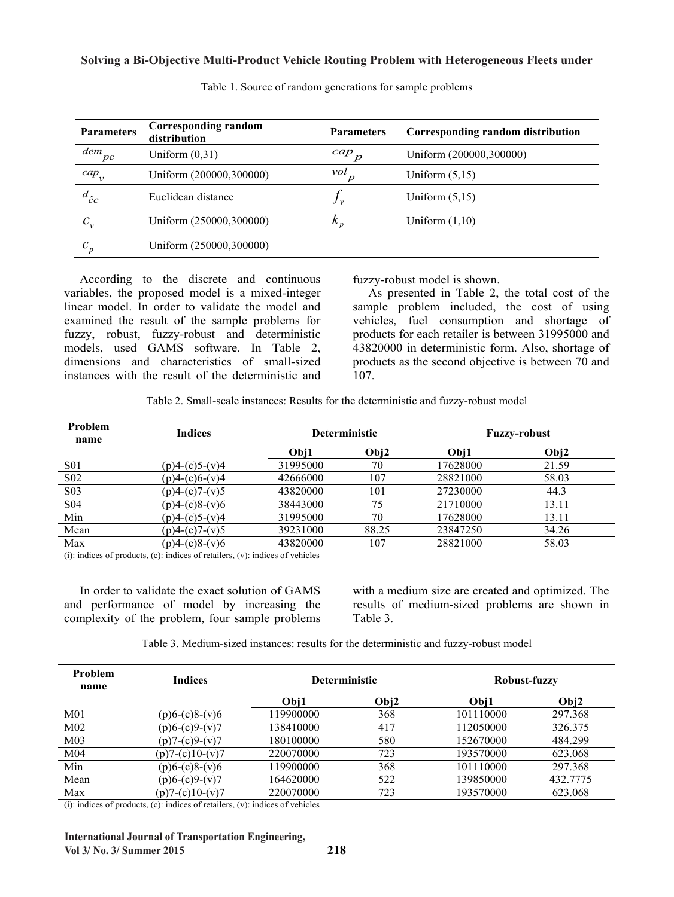| <b>Parameters</b> | Corresponding random<br>distribution | <b>Parameters</b>       | Corresponding random distribution |
|-------------------|--------------------------------------|-------------------------|-----------------------------------|
| dem<br>pc         | Uniform $(0,31)$                     | cap<br>$\boldsymbol{D}$ | Uniform (200000,300000)           |
| $cap_{v}$         | Uniform (200000,300000)              | vol                     | Uniform $(5,15)$                  |
| $d_{\hat{c}c}$    | Euclidean distance                   | .J v                    | Uniform $(5,15)$                  |
| $c_{v}$           | Uniform (250000,300000)              | $k_{p}$                 | Uniform $(1,10)$                  |
| $c_p$             | Uniform (250000,300000)              |                         |                                   |
|                   |                                      |                         |                                   |

Table 1. Source of random generations for sample problems Table 1. Source of random generations for sample problems

 According to the discrete and continuous According to the discrete and continuous variables, the proposed model is a mixed-integer linear model. In order to validate the model and linear model. In order to validate the model and examined the result of the sample problems for examined the result of the sample problems for fuzzy, robust, fuzzy-robust and deterministic fuzzy, robust, fuzzy-robust and deterministic models, used GAMS software. In Table 2, models, used GAMS software. In Table 2, dimensions and characteristics of small-sized dimensions and characteristics or small-sized instances with the result of the deterministic and instances with the result of the deterministic and variables, the proposed model is a mixed-integer

fuzzy-robust model is shown. fuzzy-robust model is shown.

As presented in Table 2, the total cost of the sample problem included, the cost of using sample problem included, the cost of using<br>vehicles, fuel consumption and shortage of vehicles, fuel consumption and shortage of products for each retailer is between 31995000 and products for each retailer is between 31995000 and 43820000 in deterministic form. Also, shortage of 43820000 in deterministic form. Also, shortage of products as the second objective is between 70 and  $107$ 107. 107. As presented in Table 2, the total cost of the

Table 2. Small-scale instances: Results for the deterministic and fuzzy-robust model Table 2. Small-scale instances: Results for the deterministic and fuzzy-robust model

| <b>Problem</b><br>name | <b>Indices</b>            |          | <b>Deterministic</b> |          | <b>Fuzzy-robust</b> |  |
|------------------------|---------------------------|----------|----------------------|----------|---------------------|--|
|                        |                           | Obi1     | Obj2                 | Obi1     | Obj2                |  |
| <b>S01</b>             | $(p)$ 4- $(c)$ 5- $(v)$ 4 | 31995000 | 70                   | 17628000 | 21.59               |  |
| S <sub>0</sub> 2       | $(p)4-(c)6-(v)4$          | 42666000 | 107                  | 28821000 | 58.03               |  |
| <b>S03</b>             | $(p)4-(c)7-(v)5$          | 43820000 | 101                  | 27230000 | 44.3                |  |
| S <sub>04</sub>        | $(p)$ 4- $(c)$ 8- $(v)$ 6 | 38443000 | 75                   | 21710000 | 13.11               |  |
| Min                    | $(p)4-(c)5-(v)4$          | 31995000 | 70                   | 17628000 | 13.11               |  |
| Mean                   | $(p)$ 4- $(c)$ 7- $(v)$ 5 | 39231000 | 88.25                | 23847250 | 34.26               |  |
| Max                    | $(p)4-(c)8-(v)6$          | 43820000 | 107                  | 28821000 | 58.03               |  |

(i): indices of products, (c): indices of retailers, (v): indices of vehicles

and performance of model by increasing the complexity of the problem, four sample problems complexity of the problem, four samples problems  $\mathbf{r}$  samples problems  $\mathbf{r}$ In order to validate the exact solution of GAMS

results of medium-sized problems are shown in Table 3. with a medium size are created and optimized. The

Table 3. Medium-sized instances: results for the deterministic and fuzzy-robust model

| <b>Problem</b><br>name | <b>Indices</b>    | <b>Deterministic</b> |      | <b>Robust-fuzzy</b> |          |
|------------------------|-------------------|----------------------|------|---------------------|----------|
|                        |                   | Obj1                 | Obj2 | Obi1                | Obj2     |
| M <sub>01</sub>        | $(p)6-(c)8-(v)6$  | 119900000            | 368  | 101110000           | 297.368  |
| M <sub>02</sub>        | $(p)6-(c)9-(v)7$  | 138410000            | 417  | 112050000           | 326.375  |
| M <sub>03</sub>        | $(p)7-(c)9-(v)7$  | 180100000            | 580  | 152670000           | 484.299  |
| M <sub>04</sub>        | $(p)7-(c)10-(v)7$ | 220070000            | 723  | 193570000           | 623.068  |
| Min                    | $(p)6-(c)8-(v)6$  | 19900000             | 368  | 101110000           | 297.368  |
| Mean                   | $(p)6-(c)9-(v)7$  | 164620000            | 522  | 139850000           | 432.7775 |
| Max                    | $(p)7-(c)10-(v)7$ | 220070000            | 723  | 193570000           | 623.068  |

 $(i)$ : indices of products,  $(c)$ : indices of retailers,  $(v)$ : indices of vehicles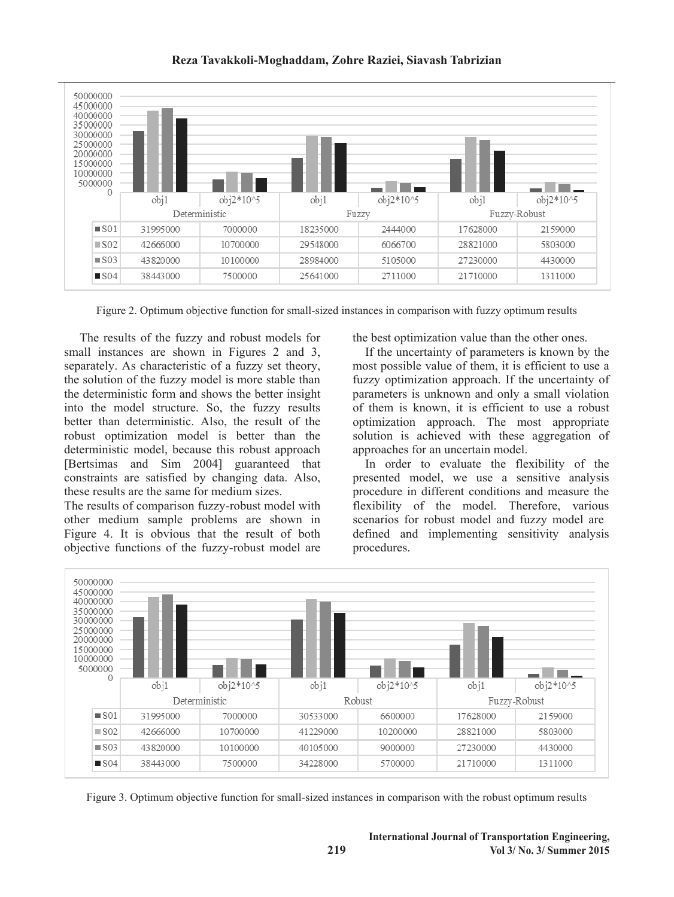

Figure 2. Optimum objective function for small-sized instances in comparison with fuzzy optimum results

 The results of the fuzzy and robust models for small instances are shown in Figures 2 and 3, separately. As characteristic of a fuzzy set theory, the solution of the fuzzy model is more stable than the deterministic form and shows the better insight into the model structure. So, the fuzzy results better than deterministic. Also, the result of the robust optimization model is better than the deterministic model, because this robust approach [Bertsimas and Sim 2004] guaranteed that constraints are satisfied by changing data. Also, these results are the same for medium sizes.

The results of comparison fuzzy-robust model with other medium sample problems are shown in Figure 4. It is obvious that the result of both objective functions of the fuzzy-robust model are the best optimization value than the other ones.

 If the uncertainty of parameters is known by the most possible value of them, it is efficient to use a fuzzy optimization approach. If the uncertainty of parameters is unknown and only a small violation of them is known, it is efficient to use a robust optimization approach. The most appropriate solution is achieved with these aggregation of approaches for an uncertain model.

 In order to evaluate the flexibility of the presented model, we use a sensitive analysis procedure in different conditions and measure the flexibility of the model. Therefore, various scenarios for robust model and fuzzy model are defined and implementing sensitivity analysis procedures.



Figure 3. Optimum objective function for small-sized instances in comparison with the robust optimum results

**219**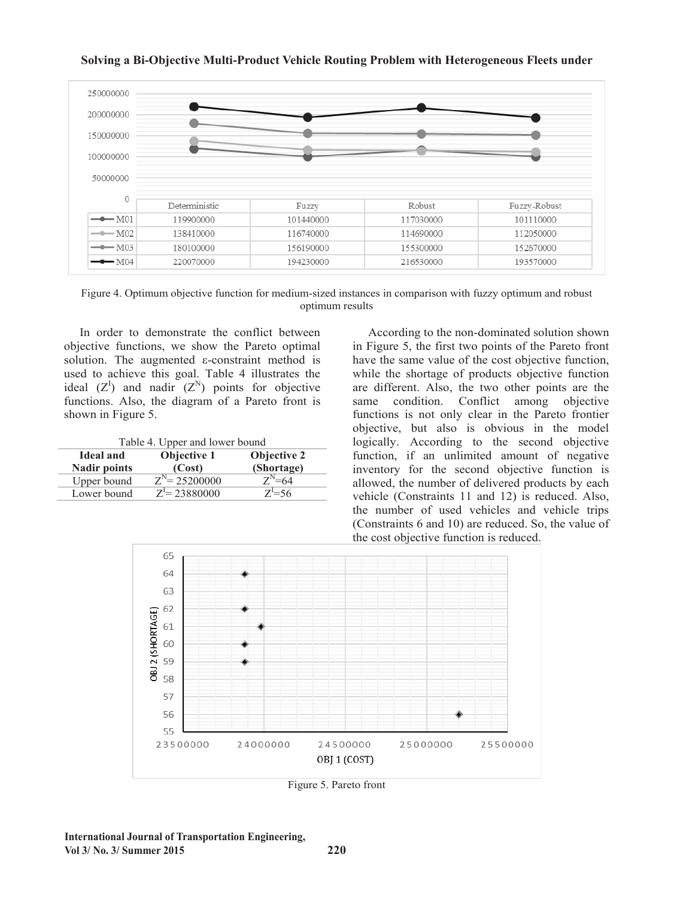

**Solving a Bi-Objective Multi-Product Vehicle Routing Problem with Heterogeneous Fleets under**

Figure 4. Optimum objective function for medium-sized instances in comparison with fuzzy optimum and robust optimum continuum results optimum results optimum results

155300000

216530000

156190000

194230000

 In order to demonstrate the conflict between objective functions, we show the Pareto optimal solution. The augmented  $\varepsilon$ -constraint method is used to achieve this goal. Table 4 illustrates the ideal  $(Z^I)$  and nadir  $(Z^N)$  points for objective functions. Also, the diagram of a Pareto front is shown in Figure 5.  $\mathcal{S}$ In order to demonstrate the conflict between

180100000

220070000

 $-M03$ 

 $-M04$ 

| Table 4. Upper and lower bound<br><b>Objective 1</b><br><b>Objective 2</b><br><b>Ideal and</b> |                               |            |  |  |  |
|------------------------------------------------------------------------------------------------|-------------------------------|------------|--|--|--|
| <b>Nadir points</b>                                                                            | (Cost)                        | (Shortage) |  |  |  |
| Upper bound                                                                                    | $\overline{Z^{N}}$ = 25200000 | $Z^N=64$   |  |  |  |
| Lower bound                                                                                    | $Z^I = 23880000$              | $Z^1 = 56$ |  |  |  |

 According to the non-dominated solution shown in Figure 5, the first two points of the Pareto front in Figure 5, the first two points of the Pareto front have the same value of the cost objective function, mave the same value of the cost objective function, while the shortage of products objective function are different. Also, the two other points are the same condition. Conflict among objective functions is not only clear in the Pareto frontier objective, but also is obvious in the model logically. According to the second objective function, if an unlimited amount of negative inventory for the second objective function is allowed, the number of delivered products by each vehicle (Constraints 11 and 12) is reduced. Also, the number of used vehicles and vehicle trips (Constraints 6 and 10) are reduced. So, the value of the cost objective function is reduced. According to the non-dominated solution shown

152670000

193570000



Figure 5. Pareto front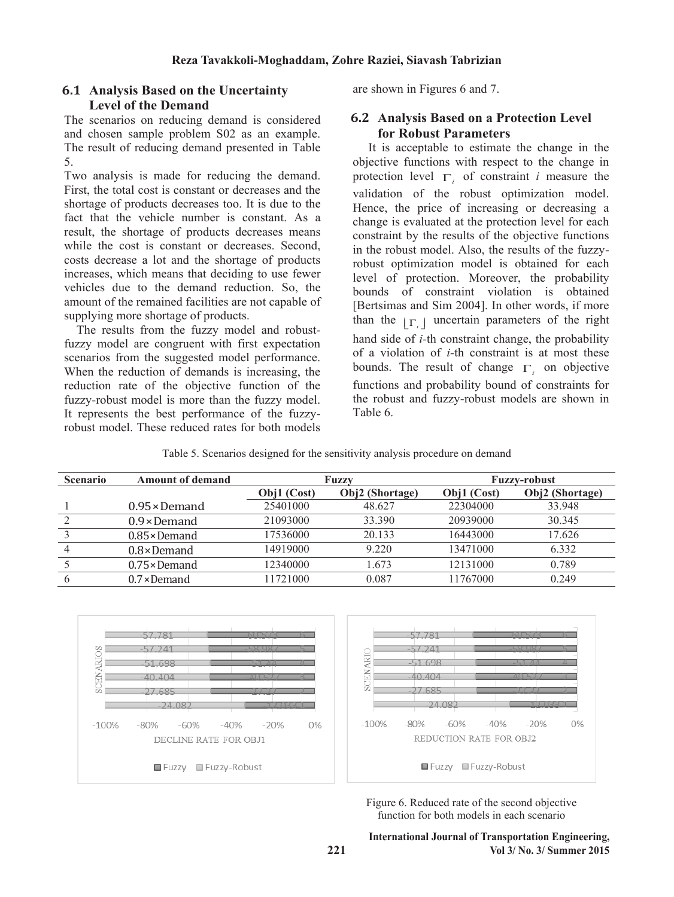## **6.1 Analysis Based on the Uncertainty Level of the Demand**

The scenarios on reducing demand is considered and chosen sample problem S02 as an example. The result of reducing demand presented in Table 5.

Two analysis is made for reducing the demand. First, the total cost is constant or decreases and the shortage of products decreases too. It is due to the fact that the vehicle number is constant. As a result, the shortage of products decreases means while the cost is constant or decreases. Second, costs decrease a lot and the shortage of products increases, which means that deciding to use fewer vehicles due to the demand reduction. So, the amount of the remained facilities are not capable of supplying more shortage of products.

 The results from the fuzzy model and robustfuzzy model are congruent with first expectation scenarios from the suggested model performance. When the reduction of demands is increasing, the reduction rate of the objective function of the fuzzy-robust model is more than the fuzzy model. It represents the best performance of the fuzzyrobust model. These reduced rates for both models

are shown in Figures 6 and 7.

### **6.2 Analysis Based on a Protection Level for Robust Parameters**

 It is acceptable to estimate the change in the objective functions with respect to the change in protection level  $\Gamma$  of constraint *i* measure the validation of the robust optimization model. Hence, the price of increasing or decreasing a change is evaluated at the protection level for each constraint by the results of the objective functions in the robust model. Also, the results of the fuzzyrobust optimization model is obtained for each level of protection. Moreover, the probability bounds of constraint violation is obtained [Bertsimas and Sim 2004]. In other words, if more than the  $|\Gamma|$  uncertain parameters of the right hand side of *i-*th constraint change, the probability of a violation of *i-*th constraint is at most these bounds. The result of change  $\Gamma$  on objective functions and probability bound of constraints for the robust and fuzzy-robust models are shown in Table 6.

Table 5. Scenarios designed for the sensitivity analysis procedure on demand

| <b>Scenario</b> | <b>Amount of demand</b> |             | Fuzzv           | <b>Fuzzy-robust</b> |                 |  |
|-----------------|-------------------------|-------------|-----------------|---------------------|-----------------|--|
|                 |                         | Obj1 (Cost) | Obj2 (Shortage) | Obj1 (Cost)         | Obj2 (Shortage) |  |
|                 | $0.95 \times$ Demand    | 25401000    | 48.627          | 22304000            | 33.948          |  |
|                 | $0.9 \times$ Demand     | 21093000    | 33.390          | 20939000            | 30.345          |  |
|                 | $0.85 \times$ Demand    | 17536000    | 20.133          | 16443000            | 17.626          |  |
|                 | $0.8 \times$ Demand     | 14919000    | 9.220           | 13471000            | 6.332           |  |
|                 | $0.75 \times$ Demand    | 12340000    | 1.673           | 12131000            | 0.789           |  |
|                 | $0.7 \times$ Demand     | 11721000    | 0.087           | 11767000            | 0.249           |  |



Figure 6. Reduced rate of the second objective function for both models in each scenario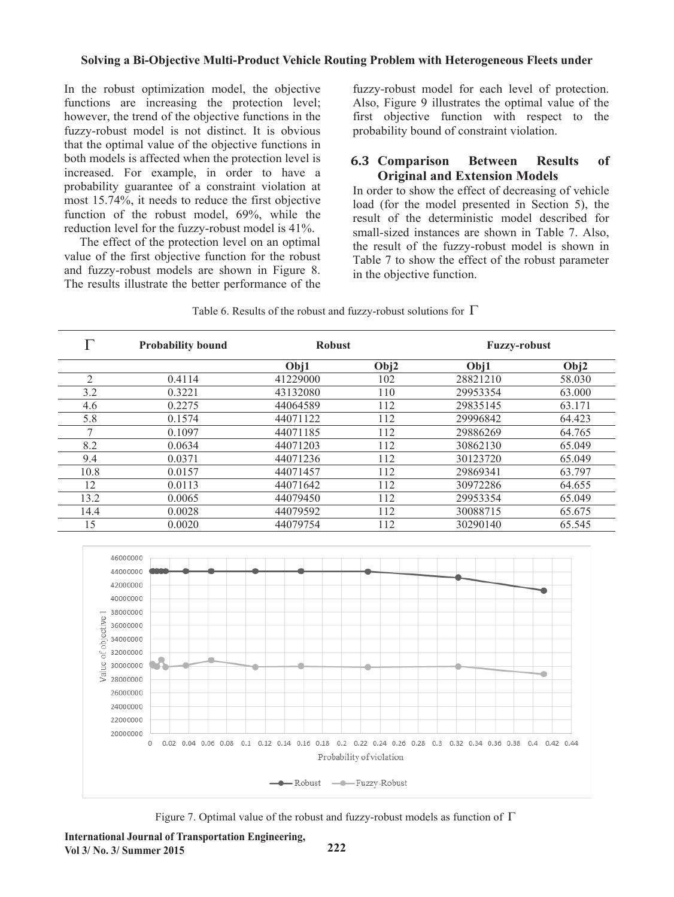In the robust optimization model, the objective functions are increasing the protection level; however, the trend of the objective functions in the fuzzy-robust model is not distinct. It is obvious that the optimal value of the objective functions in both models is affected when the protection level is increased. For example, in order to have a probability guarantee of a constraint violation at most 15.74%, it needs to reduce the first objective function of the robust model, 69%, while the reduction level for the fuzzy-robust model is 41%.

 The effect of the protection level on an optimal value of the first objective function for the robust and fuzzy-robust models are shown in Figure 8. The results illustrate the better performance of the fuzzy-robust model for each level of protection. Also, Figure 9 illustrates the optimal value of the first objective function with respect to the probability bound of constraint violation.

#### **6.3 Comparison Between Results of Original and Extension Models**

In order to show the effect of decreasing of vehicle load (for the model presented in Section 5), the result of the deterministic model described for small-sized instances are shown in Table 7. Also, the result of the fuzzy-robust model is shown in Table 7 to show the effect of the robust parameter in the objective function.

|  |  |  | Table 6. Results of the robust and fuzzy-robust solutions for $\Gamma$ |  |
|--|--|--|------------------------------------------------------------------------|--|
|  |  |  |                                                                        |  |

|                | <b>Probability bound</b> | <b>Robust</b> |      | <b>Fuzzy-robust</b> |        |
|----------------|--------------------------|---------------|------|---------------------|--------|
|                |                          | Obj1          | Obj2 | Obj1                | Obj2   |
| $\overline{2}$ | 0.4114                   | 41229000      | 102  | 28821210            | 58.030 |
| 3.2            | 0.3221                   | 43132080      | 110  | 29953354            | 63,000 |
| 4.6            | 0.2275                   | 44064589      | 112  | 29835145            | 63.171 |
| 5.8            | 0.1574                   | 44071122      | 112  | 29996842            | 64.423 |
|                | 0.1097                   | 44071185      | 112  | 29886269            | 64.765 |
| 8.2            | 0.0634                   | 44071203      | 112  | 30862130            | 65.049 |
| 9.4            | 0.0371                   | 44071236      | 112  | 30123720            | 65.049 |
| 10.8           | 0.0157                   | 44071457      | 112  | 29869341            | 63.797 |
| 12             | 0.0113                   | 44071642      | 112  | 30972286            | 64.655 |
| 13.2           | 0.0065                   | 44079450      | 112  | 29953354            | 65.049 |
| 14.4           | 0.0028                   | 44079592      | 112  | 30088715            | 65.675 |
| 15             | 0.0020                   | 44079754      | 112  | 30290140            | 65.545 |



Figure 7. Optimal value of the robust and fuzzy-robust models as function of  $\Gamma$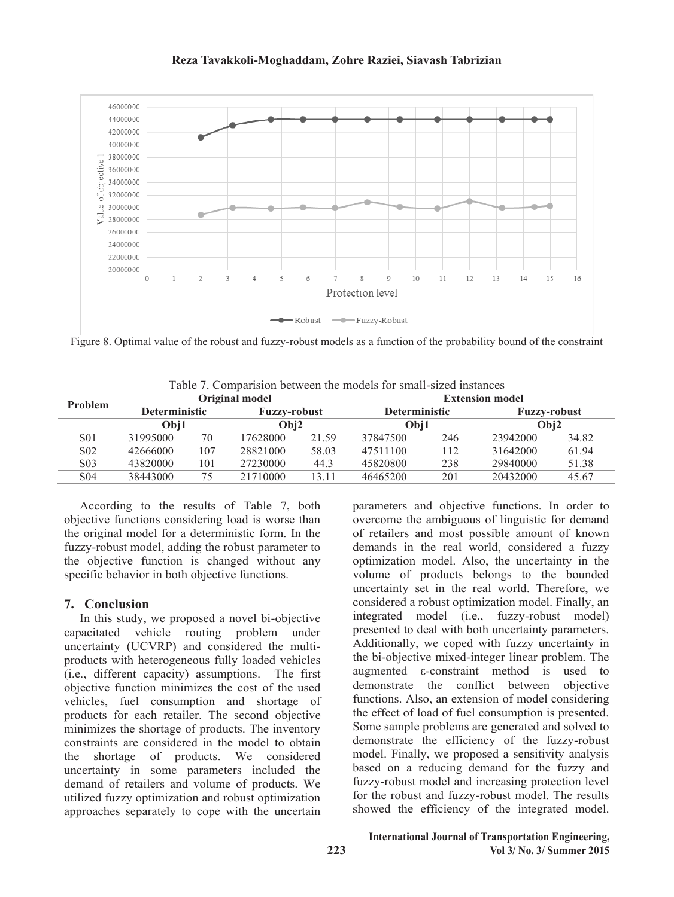#### **Reza Tavakkoli-Moghaddam, Zohre Raziei, Siavash Tabrizian**



Figure 8. Optimal value of the robust and fuzzy-robust models as a function of the probability bound of the constraint

|                  |                      | Original model |                     |       |                      | <b>Extension model</b> |                     |       |  |
|------------------|----------------------|----------------|---------------------|-------|----------------------|------------------------|---------------------|-------|--|
| Problem          | <b>Deterministic</b> |                | <b>Fuzzy-robust</b> |       | <b>Deterministic</b> |                        | <b>Fuzzy-robust</b> |       |  |
|                  | Obj1                 |                | Obi2                |       | Obi1                 |                        | Obj2                |       |  |
| S <sub>0</sub> 1 | 31995000             | 70             | 17628000            | 21.59 | 37847500             | 246                    | 23942000            | 34.82 |  |
| S <sub>0</sub> 2 | 42666000             | 107            | 28821000            | 58.03 | 47511100             | 112                    | 31642000            | 61.94 |  |
| S <sub>0</sub> 3 | 43820000             | 101            | 27230000            | 44.3  | 45820800             | 238                    | 29840000            | 51.38 |  |
| S <sub>04</sub>  | 38443000             | 75             | 21710000            | 13.11 | 46465200             | 201                    | 20432000            | 45.67 |  |
|                  |                      |                |                     |       |                      |                        |                     |       |  |

Table 7. Comparision between the models for small-sized instances Table 7. Comparision between the models for small-sized instances

 According to the results of Table 7, both objective functions considering load is worse than objective functions considering load is worse than the original model for a deterministic form. In the the original model for a deterministic form. In the fuzzy-robust model, adding the robust parameter to fuzzy-robust model, adding the robust parameter to the objective function is changed without any the objective function is changed without any specific behavior in both objective functions. specific behavior in both objective functions. According to the results of Table 7, both

### **7. Conclusion**

**7. Conclusion** In this study, we proposed a novel bi-objective In this study, we proposed a novel bi-objective capacitated vehicle routing problem under uncertainty (UCVRP) and considered the multiproducts with heterogeneous fully loaded vehicles (i.e., different capacity) assumptions. The first objective function minimizes the cost of the used vehicles, fuel consumption and shortage of products for each retailer. The second objective minimizes the shortage of products. The inventory constraints are considered in the model to obtain the shortage of products. We considered uncertainty in some parameters included the demand of retailers and volume of products. We utilized fuzzy optimization and robust optimization approaches separately to cope with the uncertain

parameters and objective functions. In order to overcome the ambiguous of linguistic for demand overcome the ambiguous of linguistic for demand of retailers and most possible amount of known demands in the real world, considered a fuzzy demands in the real world, considered a fuzzy optimization model. Also, the uncertainty in the optimization model. Also, the uncertainty in the volume of products belongs to the bounded volume of products belongs to the bounded uncertainty set in the real world. Therefore, we uncertainty set in the real world. Therefore, we considered a robust optimization model. Finally, an considered a robust optimization model. Finally, an integrated model (i.e., fuzzy-robust model) presented to deal with both uncertainty parameters. presented to deal with both uncertainty parameters. Additionally, we coped with fuzzy uncertainty in the bi-objective mixed-integer linear problem. The augmented ε-constraint method is used to demonstrate the conflict between objective functions. Also, an extension of model considering the effect of load of fuel consumption is presented. Some sample problems are generated and solved to demonstrate the efficiency of the fuzzy-robust model. Finally, we proposed a sensitivity analysis based on a reducing demand for the fuzzy and fuzzy-robust model and increasing protection level for the robust and fuzzy-robust model. The results showed the efficiency of the integrated model. parameters and objective functions. In order to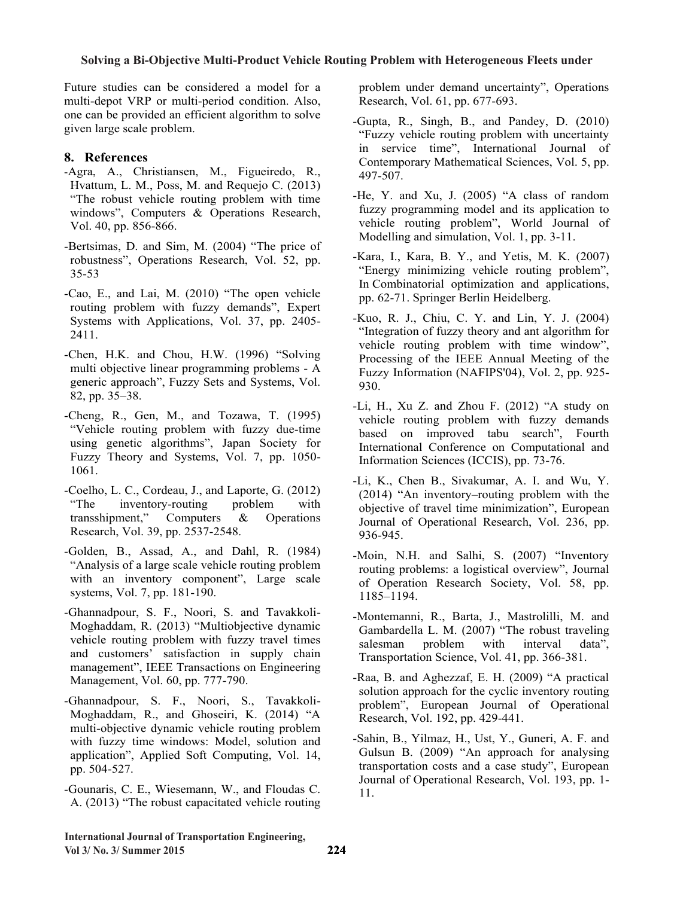Future studies can be considered a model for a Future studies can be considered a model for a multi-depot VRP or multi-period condition. Also, multi-depot VRP or multi-period condition. Also, one can be provided an efficient algorithm to solve given large scale problem. given large scale problem.

## **8. References 8. References**

- -Agra, A., Christiansen, M., Figueiredo, R., -Agra, A., Christiansen, M., Figueiredo, R., Hvattum, L. M., Poss, M. and Requejo C. (2013) Hvattum, L. M., Poss, M. and Requejo C. (2013) "The robust vehicle routing problem with time "The robust vehicle routing problem with time windows", Computers & Operations Research, Vol. 40, pp. 856-866. Vol. 40, pp. 856-866.
- $\text{P}\text{P}\text{C}$  and Sim, M. (2004) The price of robustness", Operations Research, Vol. 52, pp. 35-53 35-53 -Bertsimas, D. and Sim, M. (2004) "The price of
- -Cao, E., and Lai, M. (2010) "The open vehicle routing problem with fuzzy demands", Expert routing problem with fuzzy demands, Expert Systems with Applications, Vol. 37, pp. 2405-<br>2411 **2.111.** -Cao, E., and Lai, M. (2010) "The open vehicle 2411.
- multi objective linear programming problems A multi objective linear programming problems - A region of the system of the system of the system of the system of the system of the system of the system of the system of the system of the system of the system of the system  $g_2$ , pp. 35–38. -Chen, H.K. and Chou, H.W. (1996) "Solving
- $\frac{1}{2}$ "Vehicle routing problem with fuzzy due-time using genetic algorithms", Japan Society for Fuzzy Theory and Systems, Vol. 7, pp. 1050-Fuzzy Theory and Systems, Vol. 7, pp. 1050- 1061. -Cheng, R., Gen, M., and Tozawa, T. (1995)
- -Coelho, L. C., Cordeau, J., and Laporte, G. (2012) "The inventory-routing problem with transshipment," Computers & Operations Research, Vol. 39, pp. 2537-2548.
- -Golden, B., Assad, A., and Dahl, R.  $(1984)$ "Analysis of a large scale vehicle routing problem "Analysis of a large scale vehicle routing problem "Analysis of a large scale vehicle routing problem with an inventory component", Large scale systems, Vol. 7, pp. 181-190.
- -Ghannadpour, S. F., Noori, S. and Tavakkoli-Moghaddam, R. (2013) "Multiobjective dynamic vehicle routing problem with fuzzy travel times and customers' satisfaction in supply chain management", IEEE Transactions on Engineering Management, Vol. 60, pp. 777-790.
- -Ghannadpour, S. F., Noori, S., Tavakkoli-Moghaddam, R., and Ghoseiri, K. (2014) "A multi-objective dynamic vehicle routing problem with fuzzy time windows: Model, solution and application", Applied Soft Computing, Vol. 14,  $504.527$ pp. 504-527.
- -Gounaris, C. E., Wiesemann, W., and Floudas C. A. (2013) "The robust capacitated vehicle routing

problem under demand uncertainty", Operations problem under demand uncertainty", Operations Research, Vol. 61, pp. 677-693. Research, Vol. 61, pp. 677-693.

- -Gupta, R., Singh, B., and Pandey, D. (2010) -Gupta, R., Singh, B., and Pandey, D. (2010) "Fuzzy vehicle routing problem with uncertainty "Fuzzy vehicle routing problem with uncertainty in service time", International Journal of in service time", International Journal of Contemporary Mathematical Sciences, Vol. 5, pp. 497-507. 497-507.
- -He, Y. and Xu, J.  $(2005)$  "A class of random fuzzy programming model and its application to vehicle routing problem", World Journal of Modelling and simulation, Vol. 1, pp. 3-11. Modelling and simulation, Vol. 1, pp. 3-11. fuzzy programming model and its application to
- -Kara, I., Kara, B. Y., and Yetis, M. K. (2007) "Energy minimizing vehicle routing problem", "Energy minimizing vehicle routing problem", In Combinatorial optimization and applications, In Combinatorial optimization and applications, pp. 62-71. Springer Berlin Heidelberg. pp. 62-71. Springer Berlin Heidelberg. -Kara, I., Kara, B. Y., and Yetis, M. K. (2007)
- -Kuo, R. J., Chiu, C. Y. and Lin, Y. J. (2004) "Integration of fuzzy theory and ant algorithm for whicle routing problem with time window", vehicle routing problem with time window", Processing of the IEEE Annual Meeting of the Processing of the IEEE Annual Meeting of the Fig. 2. The contract (NAFIPS  $(0.936)$ -Kuo, R. J., Chiu, C. Y. and Lin, Y. J. (2004) Fuzzy Information (NAFIPS'04), Vol. 2, pp. 925- 930.
- 930. vehicle routing problem with fuzzy demands based on improved tabu search", Fourth International Conference on Computational and Information Sciences (ICCIS), pp. 73-76. -Li, H., Xu Z. and Zhou F. (2012) "A study on
- -Li, K., Chen B., Sivakumar, A. I. and Wu, Y.  $(2014)$  "An inventory–routing problem with the objective of travel time minimization", European Journal of Operational Research, Vol. 236, pp. Journal of Operational Research, Vol. 236, pp. 936-945.
- -Moin, N.H. and Salhi, S. (2007) "Inventory routing problems: a logistical overview", Journal of Operation Research Society, Vol. 58, pp. of Operation Research Society, Vol. 58, pp. 1185–1194.
- -Montemanni, R., Barta, J., Mastrolilli, M. and Gambardella L. M. (2007) "The robust traveling salesman problem with interval data", Transportation Science, Vol. 41, pp. 366-381. salesman problem with interval data",
- -Raa, B. and Aghezzaf, E. H. (2009) "A practical solution approach for the cyclic inventory routing problem", European Journal of Operational Research, Vol. 192, pp. 429-441.
- -Sahin, B., Yilmaz, H., Ust, Y., Guneri, A. F. and Gulsun B. (2009) "An approach for analysing transportation costs and a case study", European Journal of Operational Research, Vol. 193, pp. 1-Journal of Operational Research, Vol. 193, pp. 1- 11.

**International Journal of Transportation Engineering, Vol 3/ No. 3/ Summer 2015**